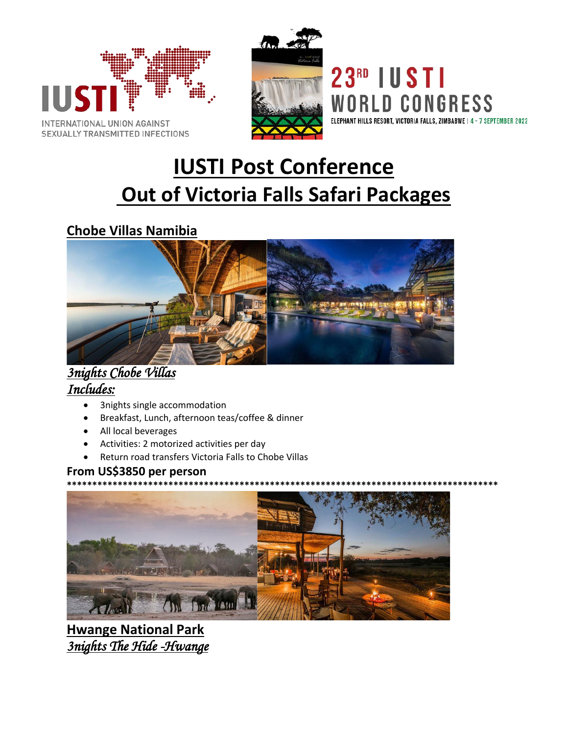



INTERNATIONAL UNION AGAINST SEXUALLY TRANSMITTED INFECTIONS

# **IUSTI Post Conference** Out of Victoria Falls Safari Packages

## **Chobe Villas Namibia**



## 3 nights Chobe Villas Includes:

- 3nights single accommodation  $\bullet$
- Breakfast, Lunch, afternoon teas/coffee & dinner
- All local beverages
- Activities: 2 motorized activities per day
- Return road transfers Victoria Falls to Chobe Villas

#### From US\$3850 per person



**Hwange National Park** 3nights The Hide -Hwange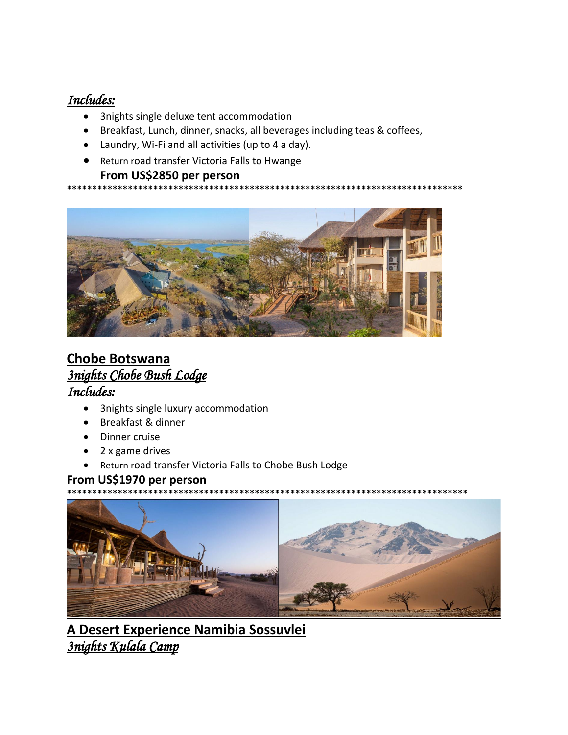## Includes:

- 3nights single deluxe tent accommodation  $\bullet$
- Breakfast, Lunch, dinner, snacks, all beverages including teas & coffees,  $\bullet$
- Laundry, Wi-Fi and all activities (up to 4 a day).
- Return road transfer Victoria Falls to Hwange

#### From US\$2850 per person



# **Chobe Botswana** 3 nights Chobe Bush Lodge Includes:

- 3nights single luxury accommodation  $\bullet$
- Breakfast & dinner
- Dinner cruise
- $\bullet$  2 x game drives
- Return road transfer Victoria Falls to Chobe Bush Lodge  $\bullet$

### From US\$1970 per person



A Desert Experience Namibia Sossuvlei 3 nights Kulala Camp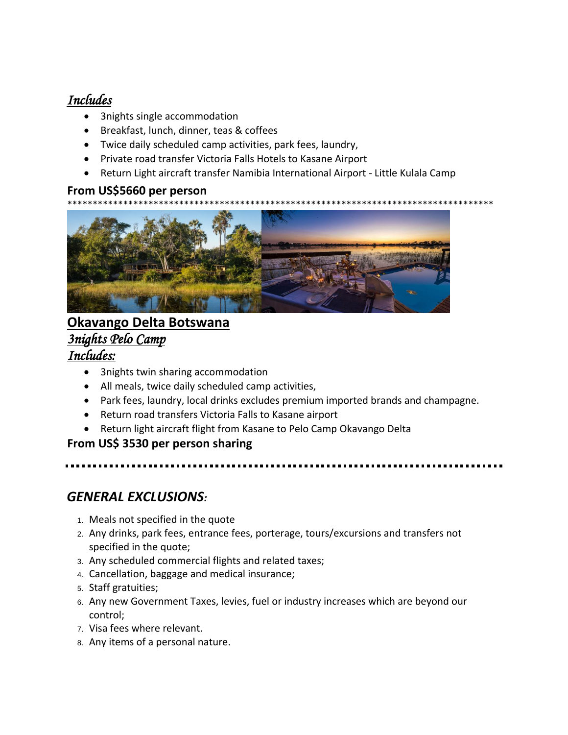## *Includes*

- 3nights single accommodation
- Breakfast, lunch, dinner, teas & coffees
- Twice daily scheduled camp activities, park fees, laundry,
- Private road transfer Victoria Falls Hotels to Kasane Airport
- Return Light aircraft transfer Namibia International Airport Little Kulala Camp

#### **From US\$5660 per person**

\*\*\*\*\*\*\*\*\*\*\*\*\*\*\*\*\*\*\*\*\*\*\*\*\*\*\*\*\*\*\*\*\*\*\*\*\*\*\*\*\*\*\*\*\*\*\*\*\*\*\*\*\*\*\*\*\*\*\*\*\*\*\*\*\*\*\*\*\*\*\*\*\*\*\*\*\*\*\*\*\*\*\*\*



## **Okavango Delta Botswana** *3nights Pelo Camp Includes:*

- 3nights twin sharing accommodation
- All meals, twice daily scheduled camp activities,
- Park fees, laundry, local drinks excludes premium imported brands and champagne.
- Return road transfers Victoria Falls to Kasane airport
- Return light aircraft flight from Kasane to Pelo Camp Okavango Delta

### **From US\$ 3530 per person sharing**

*GENERAL EXCLUSIONS:*

- 1. Meals not specified in the quote
- 2. Any drinks, park fees, entrance fees, porterage, tours/excursions and transfers not specified in the quote;
- 3. Any scheduled commercial flights and related taxes;
- 4. Cancellation, baggage and medical insurance;
- 5. Staff gratuities;
- 6. Any new Government Taxes, levies, fuel or industry increases which are beyond our control;
- 7. Visa fees where relevant.
- 8. Any items of a personal nature.